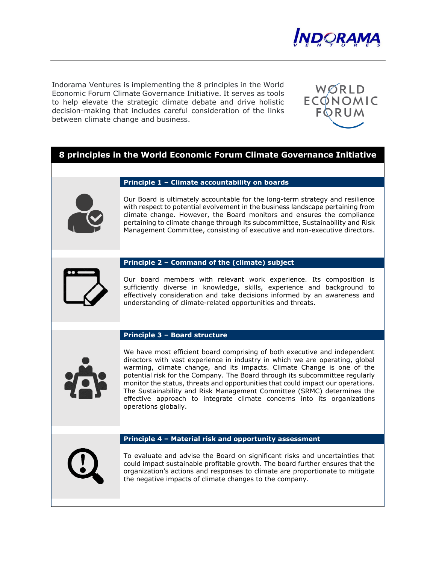

Indorama Ventures is implementing the 8 principles in the World Economic Forum Climate Governance Initiative. It serves as tools to help elevate the strategic climate debate and drive holistic decision-making that includes careful consideration of the links between climate change and business.



# **8 principles in the World Economic Forum Climate Governance Initiative**

## **Principle 1 – Climate accountability on boards**

Our Board is ultimately accountable for the long-term strategy and resilience with respect to potential evolvement in the business landscape pertaining from climate change. However, the Board monitors and ensures the compliance pertaining to climate change through its subcommittee, Sustainability and Risk Management Committee, consisting of executive and non-executive directors.

## **Principle 2 – Command of the (climate) subject**

Our board members with relevant work experience. Its composition is sufficiently diverse in knowledge, skills, experience and background to effectively consideration and take decisions informed by an awareness and understanding of climate-related opportunities and threats.

#### **Principle 3 – Board structure**



We have most efficient board comprising of both executive and independent directors with vast experience in industry in which we are operating, global warming, climate change, and its impacts. Climate Change is one of the potential risk for the Company. The Board through its subcommittee regularly monitor the status, threats and opportunities that could impact our operations. The Sustainability and Risk Management Committee (SRMC) determines the effective approach to integrate climate concerns into its organizations operations globally.

## **Principle 4 – Material risk and opportunity assessment**



To evaluate and advise the Board on significant risks and uncertainties that could impact sustainable profitable growth. The board further ensures that the organization's actions and responses to climate are proportionate to mitigate the negative impacts of climate changes to the company.